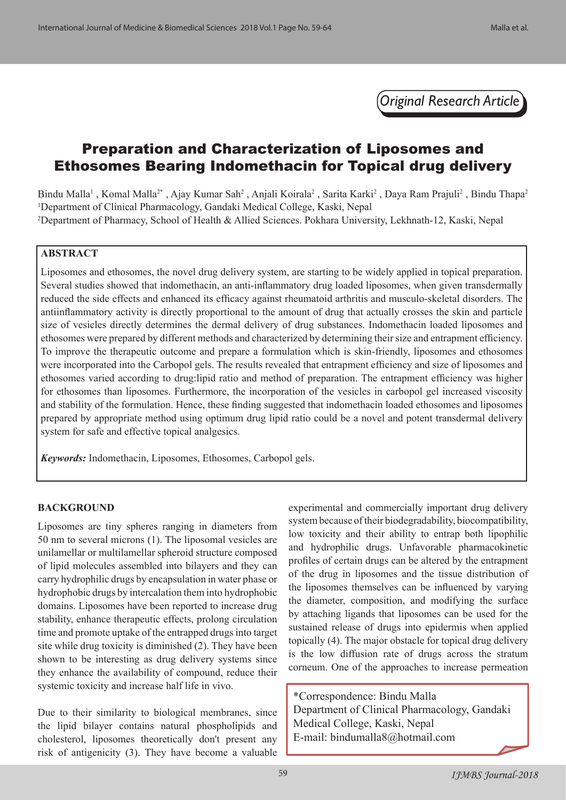*Original Research Article*

# Preparation and Characterization of Liposomes and Ethosomes Bearing Indomethacin for Topical drug delivery

Bindu Malla<sup>1</sup>, Komal Malla<sup>2\*</sup>, Ajay Kumar Sah<sup>2</sup>, Anjali Koirala<sup>2</sup>, Sarita Karki<sup>2</sup>, Daya Ram Prajuli<sup>2</sup>, Bindu Thapa<sup>2</sup> 1 Department of Clinical Pharmacology, Gandaki Medical College, Kaski, Nepal 2 Department of Pharmacy, School of Health & Allied Sciences. Pokhara University, Lekhnath-12, Kaski, Nepal

### **ABSTRACT**

Liposomes and ethosomes, the novel drug delivery system, are starting to be widely applied in topical preparation. Several studies showed that indomethacin, an anti-inflammatory drug loaded liposomes, when given transdermally reduced the side effects and enhanced its efficacy against rheumatoid arthritis and musculo-skeletal disorders. The antiinflammatory activity is directly proportional to the amount of drug that actually crosses the skin and particle size of vesicles directly determines the dermal delivery of drug substances. Indomethacin loaded liposomes and ethosomes were prepared by different methods and characterized by determining their size and entrapment efficiency. To improve the therapeutic outcome and prepare a formulation which is skin-friendly, liposomes and ethosomes were incorporated into the Carbopol gels. The results revealed that entrapment efficiency and size of liposomes and ethosomes varied according to drug:lipid ratio and method of preparation. The entrapment efficiency was higher for ethosomes than liposomes. Furthermore, the incorporation of the vesicles in carbopol gel increased viscosity and stability of the formulation. Hence, these finding suggested that indomethacin loaded ethosomes and liposomes prepared by appropriate method using optimum drug lipid ratio could be a novel and potent transdermal delivery system for safe and effective topical analgesics.

*Keywords:* Indomethacin, Liposomes, Ethosomes, Carbopol gels.

#### **BACKGROUND**

Liposomes are tiny spheres ranging in diameters from 50 nm to several microns (1). The liposomal vesicles are unilamellar or multilamellar spheroid structure composed of lipid molecules assembled into bilayers and they can carry hydrophilic drugs by encapsulation in water phase or hydrophobic drugs by intercalation them into hydrophobic domains. Liposomes have been reported to increase drug stability, enhance therapeutic effects, prolong circulation time and promote uptake of the entrapped drugs into target site while drug toxicity is diminished (2). They have been shown to be interesting as drug delivery systems since they enhance the availability of compound, reduce their systemic toxicity and increase half life in vivo.

Due to their similarity to biological membranes, since the lipid bilayer contains natural phospholipids and cholesterol, liposomes theoretically don't present any risk of antigenicity (3). They have become a valuable experimental and commercially important drug delivery system because of their biodegradability, biocompatibility, low toxicity and their ability to entrap both lipophilic and hydrophilic drugs. Unfavorable pharmacokinetic profiles of certain drugs can be altered by the entrapment of the drug in liposomes and the tissue distribution of the liposomes themselves can be influenced by varying the diameter, composition, and modifying the surface by attaching ligands that liposomes can be used for the sustained release of drugs into epidermis when applied topically (4). The major obstacle for topical drug delivery is the low diffusion rate of drugs across the stratum corneum. One of the approaches to increase permeation

\*Correspondence: Bindu Malla Department of Clinical Pharmacology, Gandaki Medical College, Kaski, Nepal E-mail: bindumalla8@hotmail.com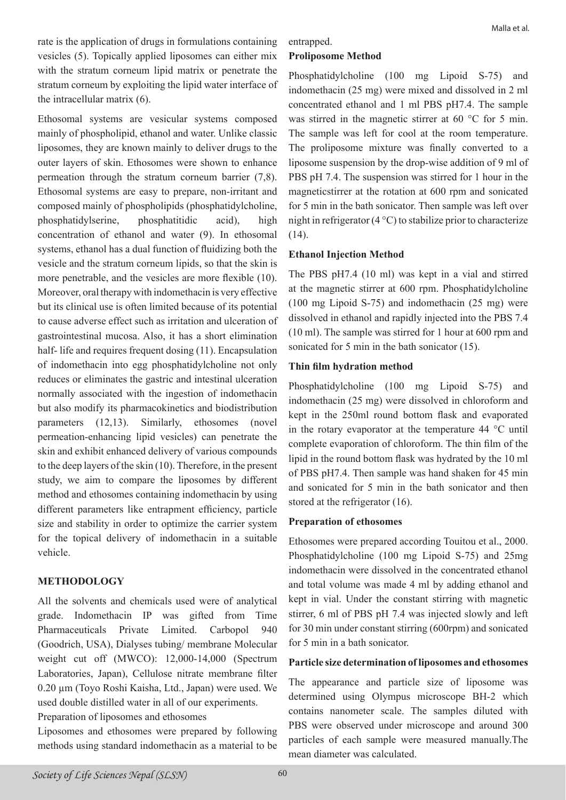rate is the application of drugs in formulations containing vesicles (5). Topically applied liposomes can either mix with the stratum corneum lipid matrix or penetrate the stratum corneum by exploiting the lipid water interface of the intracellular matrix (6).

Ethosomal systems are vesicular systems composed mainly of phospholipid, ethanol and water. Unlike classic liposomes, they are known mainly to deliver drugs to the outer layers of skin. Ethosomes were shown to enhance permeation through the stratum corneum barrier (7,8). Ethosomal systems are easy to prepare, non-irritant and composed mainly of phospholipids (phosphatidylcholine, phosphatidylserine, phosphatitidic acid), high concentration of ethanol and water (9). In ethosomal systems, ethanol has a dual function of fluidizing both the vesicle and the stratum corneum lipids, so that the skin is more penetrable, and the vesicles are more flexible (10). Moreover, oral therapy with indomethacin is very effective but its clinical use is often limited because of its potential to cause adverse effect such as irritation and ulceration of gastrointestinal mucosa. Also, it has a short elimination half- life and requires frequent dosing (11). Encapsulation of indomethacin into egg phosphatidylcholine not only reduces or eliminates the gastric and intestinal ulceration normally associated with the ingestion of indomethacin but also modify its pharmacokinetics and biodistribution parameters (12,13). Similarly, ethosomes (novel permeation-enhancing lipid vesicles) can penetrate the skin and exhibit enhanced delivery of various compounds to the deep layers of the skin (10). Therefore, in the present study, we aim to compare the liposomes by different method and ethosomes containing indomethacin by using different parameters like entrapment efficiency, particle size and stability in order to optimize the carrier system for the topical delivery of indomethacin in a suitable vehicle.

#### **METHODOLOGY**

All the solvents and chemicals used were of analytical grade. Indomethacin IP was gifted from Time Pharmaceuticals Private Limited. Carbopol 940 (Goodrich, USA), Dialyses tubing/ membrane Molecular weight cut off (MWCO): 12,000-14,000 (Spectrum Laboratories, Japan), Cellulose nitrate membrane filter 0.20 µm (Toyo Roshi Kaisha, Ltd., Japan) were used. We used double distilled water in all of our experiments.

Preparation of liposomes and ethosomes

Liposomes and ethosomes were prepared by following methods using standard indomethacin as a material to be

## entrapped.

# **Proliposome Method**

Phosphatidylcholine (100 mg Lipoid S-75) and indomethacin (25 mg) were mixed and dissolved in 2 ml concentrated ethanol and 1 ml PBS pH7.4. The sample was stirred in the magnetic stirrer at 60 °C for 5 min. The sample was left for cool at the room temperature. The proliposome mixture was finally converted to a liposome suspension by the drop-wise addition of 9 ml of PBS pH 7.4. The suspension was stirred for 1 hour in the magneticstirrer at the rotation at 600 rpm and sonicated for 5 min in the bath sonicator. Then sample was left over night in refrigerator  $(4^{\circ}C)$  to stabilize prior to characterize (14).

### **Ethanol Injection Method**

The PBS pH7.4 (10 ml) was kept in a vial and stirred at the magnetic stirrer at 600 rpm. Phosphatidylcholine (100 mg Lipoid S-75) and indomethacin (25 mg) were dissolved in ethanol and rapidly injected into the PBS 7.4 (10 ml). The sample was stirred for 1 hour at 600 rpm and sonicated for 5 min in the bath sonicator (15).

### **Thin film hydration method**

Phosphatidylcholine (100 mg Lipoid S-75) and indomethacin (25 mg) were dissolved in chloroform and kept in the 250ml round bottom flask and evaporated in the rotary evaporator at the temperature 44 °C until complete evaporation of chloroform. The thin film of the lipid in the round bottom flask was hydrated by the 10 ml of PBS pH7.4. Then sample was hand shaken for 45 min and sonicated for 5 min in the bath sonicator and then stored at the refrigerator (16).

#### **Preparation of ethosomes**

Ethosomes were prepared according Touitou et al., 2000. Phosphatidylcholine (100 mg Lipoid S-75) and 25mg indomethacin were dissolved in the concentrated ethanol and total volume was made 4 ml by adding ethanol and kept in vial. Under the constant stirring with magnetic stirrer, 6 ml of PBS pH 7.4 was injected slowly and left for 30 min under constant stirring (600rpm) and sonicated for 5 min in a bath sonicator.

### **Particle size determination of liposomes and ethosomes**

The appearance and particle size of liposome was determined using Olympus microscope BH-2 which contains nanometer scale. The samples diluted with PBS were observed under microscope and around 300 particles of each sample were measured manually.The mean diameter was calculated.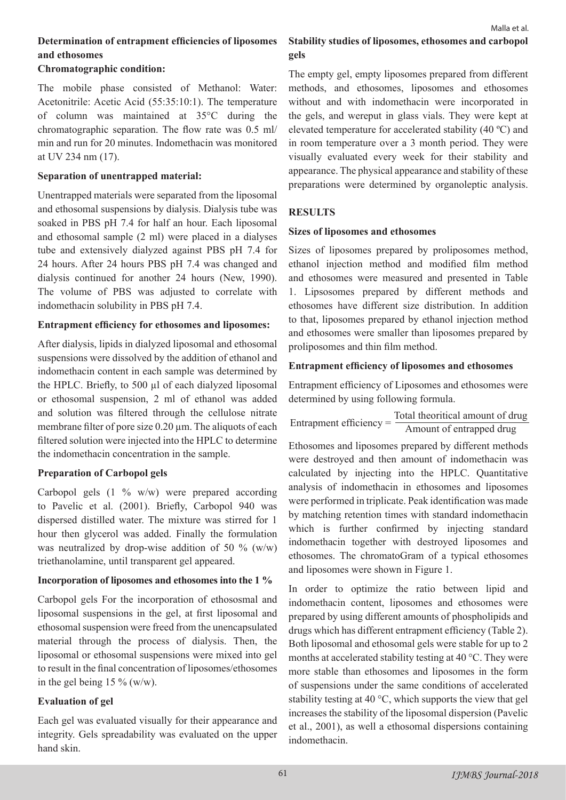# **Determination of entrapment efficiencies of liposomes and ethosomes**

### **Chromatographic condition:**

The mobile phase consisted of Methanol: Water: Acetonitrile: Acetic Acid (55:35:10:1). The temperature of column was maintained at 35°C during the chromatographic separation. The flow rate was 0.5 ml/ min and run for 20 minutes. Indomethacin was monitored at UV 234 nm (17).

### **Separation of unentrapped material:**

Unentrapped materials were separated from the liposomal and ethosomal suspensions by dialysis. Dialysis tube was soaked in PBS pH 7.4 for half an hour. Each liposomal and ethosomal sample (2 ml) were placed in a dialyses tube and extensively dialyzed against PBS pH 7.4 for 24 hours. After 24 hours PBS pH 7.4 was changed and dialysis continued for another 24 hours (New, 1990). The volume of PBS was adjusted to correlate with indomethacin solubility in PBS pH 7.4.

## **Entrapment efficiency for ethosomes and liposomes:**

After dialysis, lipids in dialyzed liposomal and ethosomal suspensions were dissolved by the addition of ethanol and indomethacin content in each sample was determined by the HPLC. Briefly, to 500 µl of each dialyzed liposomal or ethosomal suspension, 2 ml of ethanol was added and solution was filtered through the cellulose nitrate membrane filter of pore size 0.20  $\mu$ m. The aliquots of each filtered solution were injected into the HPLC to determine the indomethacin concentration in the sample.

# **Preparation of Carbopol gels**

Carbopol gels (1 % w/w) were prepared according to Pavelic et al. (2001). Briefly, Carbopol 940 was dispersed distilled water. The mixture was stirred for 1 hour then glycerol was added. Finally the formulation was neutralized by drop-wise addition of 50 %  $(w/w)$ triethanolamine, until transparent gel appeared.

# **Incorporation of liposomes and ethosomes into the 1 %**

Carbopol gels For the incorporation of ethososmal and liposomal suspensions in the gel, at first liposomal and ethosomal suspension were freed from the unencapsulated material through the process of dialysis. Then, the liposomal or ethosomal suspensions were mixed into gel to result in the final concentration of liposomes/ethosomes in the gel being  $15\%$  (w/w).

# **Evaluation of gel**

Each gel was evaluated visually for their appearance and integrity. Gels spreadability was evaluated on the upper hand skin.

# **Stability studies of liposomes, ethosomes and carbopol gels**

The empty gel, empty liposomes prepared from different methods, and ethosomes, liposomes and ethosomes without and with indomethacin were incorporated in the gels, and wereput in glass vials. They were kept at elevated temperature for accelerated stability (40 ºC) and in room temperature over a 3 month period. They were visually evaluated every week for their stability and appearance. The physical appearance and stability of these preparations were determined by organoleptic analysis.

# **RESULTS**

## **Sizes of liposomes and ethosomes**

Sizes of liposomes prepared by proliposomes method, ethanol injection method and modified film method and ethosomes were measured and presented in Table 1. Lipsosomes prepared by different methods and ethosomes have different size distribution. In addition to that, liposomes prepared by ethanol injection method and ethosomes were smaller than liposomes prepared by proliposomes and thin film method.

## **Entrapment efficiency of liposomes and ethosomes**

Entrapment efficiency of Liposomes and ethosomes were determined by using following formula.

Entrapment efficiency  $=$   $\frac{\text{Total theoretical amount of drug}}{\text{Amount of entrapped drug}}$ 

Ethosomes and liposomes prepared by different methods were destroyed and then amount of indomethacin was calculated by injecting into the HPLC. Quantitative analysis of indomethacin in ethosomes and liposomes were performed in triplicate. Peak identification was made by matching retention times with standard indomethacin which is further confirmed by injecting standard indomethacin together with destroyed liposomes and ethosomes. The chromatoGram of a typical ethosomes and liposomes were shown in Figure 1.

In order to optimize the ratio between lipid and indomethacin content, liposomes and ethosomes were prepared by using different amounts of phospholipids and drugs which has different entrapment efficiency (Table 2). Both liposomal and ethosomal gels were stable for up to 2 months at accelerated stability testing at 40 °C. They were more stable than ethosomes and liposomes in the form of suspensions under the same conditions of accelerated stability testing at 40 °C, which supports the view that gel increases the stability of the liposomal dispersion (Pavelic et al., 2001), as well a ethosomal dispersions containing indomethacin.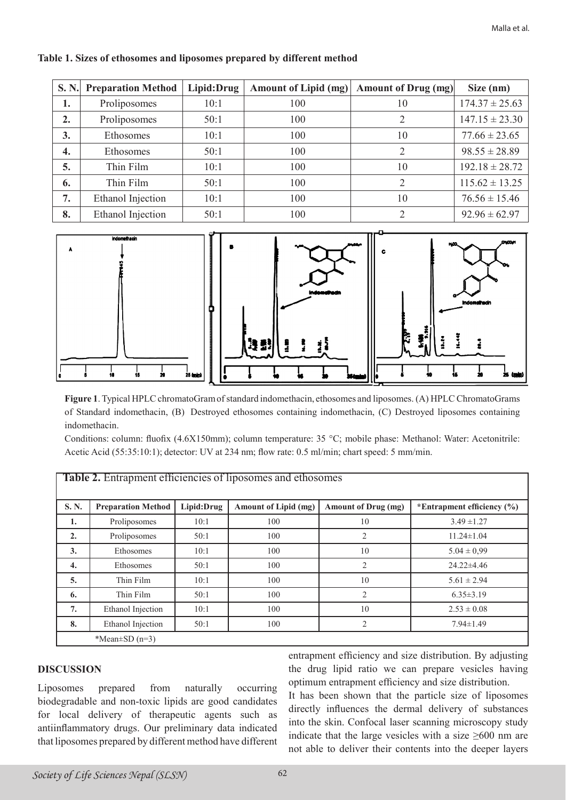| <b>S. N.</b>     | <b>Preparation Method</b> | Lipid:Drug | <b>Amount of Lipid (mg)</b> | Amount of Drug (mg)         | Size (nm)          |
|------------------|---------------------------|------------|-----------------------------|-----------------------------|--------------------|
| 1.               | Proliposomes              | 10:1       | 100                         | 10                          | $174.37 \pm 25.63$ |
| $\overline{2}$ . | Proliposomes              | 50:1       | 100                         | 2                           | $147.15 \pm 23.30$ |
| 3.               | <b>Ethosomes</b>          | 10:1       | 100                         | 10                          | $77.66 \pm 23.65$  |
| 4.               | <b>Ethosomes</b>          | 50:1       | 100                         | 2                           | $98.55 \pm 28.89$  |
| 5.               | Thin Film                 | 10:1       | 100                         | 10                          | $192.18 \pm 28.72$ |
| 6.               | Thin Film                 | 50:1       | 100                         | $\overline{2}$              | $115.62 \pm 13.25$ |
| 7.               | Ethanol Injection         | 10:1       | 100                         | 10                          | $76.56 \pm 15.46$  |
| 8.               | Ethanol Injection         | 50:1       | 100                         | $\mathcal{D}_{\mathcal{A}}$ | $92.96 \pm 62.97$  |

#### **Table 1. Sizes of ethosomes and liposomes prepared by different method**



**Figure 1**. Typical HPLC chromatoGram of standard indomethacin, ethosomes and liposomes. (A) HPLC ChromatoGrams of Standard indomethacin, (B) Destroyed ethosomes containing indomethacin, (C) Destroyed liposomes containing indomethacin.

Conditions: column: fluofix (4.6X150mm); column temperature: 35 °C; mobile phase: Methanol: Water: Acetonitrile: Acetic Acid (55:35:10:1); detector: UV at 234 nm; flow rate: 0.5 ml/min; chart speed: 5 mm/min.

| <b>THERE</b> , Entraprison chronology of hposonics and chrosomes |                           |            |                      |                            |                                |  |  |  |  |
|------------------------------------------------------------------|---------------------------|------------|----------------------|----------------------------|--------------------------------|--|--|--|--|
| S.N.                                                             | <b>Preparation Method</b> | Lipid:Drug | Amount of Lipid (mg) | <b>Amount of Drug (mg)</b> | *Entrapment efficiency $(\% )$ |  |  |  |  |
| 1.                                                               | Proliposomes              | 10:1       | 100                  | 10                         | $3.49 \pm 1.27$                |  |  |  |  |
| 2.                                                               | Proliposomes              | 50:1       | 100                  | 2                          | $11.24 \pm 1.04$               |  |  |  |  |
| 3.                                                               | Ethosomes                 | 10:1       | 100                  | 10                         | $5.04 \pm 0.99$                |  |  |  |  |
| $\overline{4}$ .                                                 | Ethosomes                 | 50:1       | 100                  | 2                          | $24.22 \pm 4.46$               |  |  |  |  |
| 5.                                                               | Thin Film                 | 10:1       | 100                  | 10                         | $5.61 \pm 2.94$                |  |  |  |  |
| 6.                                                               | Thin Film                 | 50:1       | 100                  | $\overline{2}$             | $6.35 \pm 3.19$                |  |  |  |  |
| 7.                                                               | Ethanol Injection         | 10:1       | 100                  | 10                         | $2.53 \pm 0.08$                |  |  |  |  |
| 8.                                                               | Ethanol Injection         | 50:1       | 100                  | $\overline{2}$             | $7.94 \pm 1.49$                |  |  |  |  |
| *Mean $\pm$ SD (n=3)                                             |                           |            |                      |                            |                                |  |  |  |  |

#### **Table 2.** Entrapment efficiencies of liposomes and ethosomes

### **DISCUSSION**

Liposomes prepared from naturally occurring biodegradable and non-toxic lipids are good candidates for local delivery of therapeutic agents such as antiinflammatory drugs. Our preliminary data indicated that liposomes prepared by different method have different entrapment efficiency and size distribution. By adjusting the drug lipid ratio we can prepare vesicles having optimum entrapment efficiency and size distribution.

It has been shown that the particle size of liposomes directly influences the dermal delivery of substances into the skin. Confocal laser scanning microscopy study indicate that the large vesicles with a size  $\geq 600$  nm are not able to deliver their contents into the deeper layers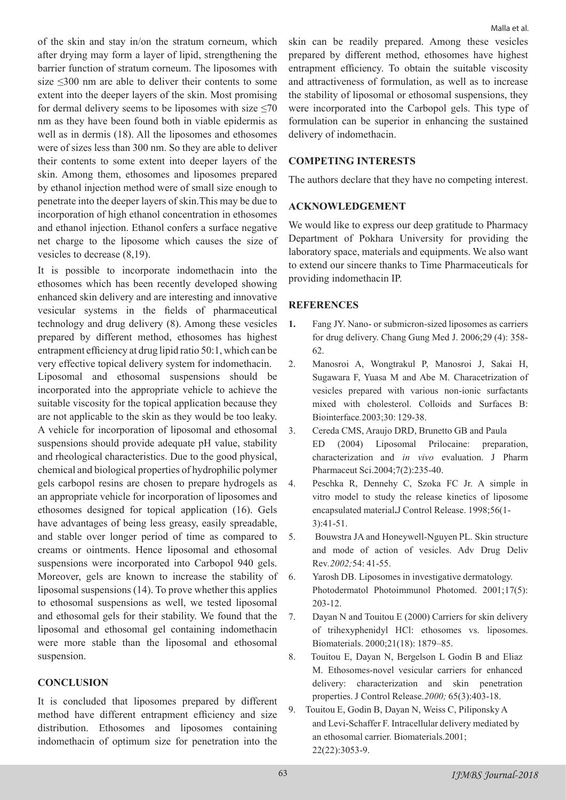of the skin and stay in/on the stratum corneum, which after drying may form a layer of lipid, strengthening the barrier function of stratum corneum. The liposomes with size ≤300 nm are able to deliver their contents to some extent into the deeper layers of the skin. Most promising for dermal delivery seems to be liposomes with size  $\leq 70$ nm as they have been found both in viable epidermis as well as in dermis (18). All the liposomes and ethosomes were of sizes less than 300 nm. So they are able to deliver their contents to some extent into deeper layers of the skin. Among them, ethosomes and liposomes prepared by ethanol injection method were of small size enough to penetrate into the deeper layers of skin.This may be due to incorporation of high ethanol concentration in ethosomes and ethanol injection. Ethanol confers a surface negative net charge to the liposome which causes the size of vesicles to decrease (8,19).

It is possible to incorporate indomethacin into the ethosomes which has been recently developed showing enhanced skin delivery and are interesting and innovative vesicular systems in the fields of pharmaceutical technology and drug delivery (8). Among these vesicles prepared by different method, ethosomes has highest entrapment efficiency at drug lipid ratio 50:1, which can be very effective topical delivery system for indomethacin. Liposomal and ethosomal suspensions should be incorporated into the appropriate vehicle to achieve the suitable viscosity for the topical application because they are not applicable to the skin as they would be too leaky. A vehicle for incorporation of liposomal and ethosomal suspensions should provide adequate pH value, stability and rheological characteristics. Due to the good physical, chemical and biological properties of hydrophilic polymer gels carbopol resins are chosen to prepare hydrogels as an appropriate vehicle for incorporation of liposomes and ethosomes designed for topical application (16). Gels have advantages of being less greasy, easily spreadable, and stable over longer period of time as compared to creams or ointments. Hence liposomal and ethosomal suspensions were incorporated into Carbopol 940 gels. Moreover, gels are known to increase the stability of liposomal suspensions (14). To prove whether this applies to ethosomal suspensions as well, we tested liposomal and ethosomal gels for their stability. We found that the liposomal and ethosomal gel containing indomethacin were more stable than the liposomal and ethosomal suspension.

### **CONCLUSION**

It is concluded that liposomes prepared by different method have different entrapment efficiency and size distribution. Ethosomes and liposomes containing indomethacin of optimum size for penetration into the skin can be readily prepared. Among these vesicles prepared by different method, ethosomes have highest entrapment efficiency. To obtain the suitable viscosity and attractiveness of formulation, as well as to increase the stability of liposomal or ethosomal suspensions, they were incorporated into the Carbopol gels. This type of formulation can be superior in enhancing the sustained delivery of indomethacin.

### **COMPETING INTERESTS**

The authors declare that they have no competing interest.

### **ACKNOWLEDGEMENT**

We would like to express our deep gratitude to Pharmacy Department of Pokhara University for providing the laboratory space, materials and equipments. We also want to extend our sincere thanks to Time Pharmaceuticals for providing indomethacin IP.

### **REFERENCES**

- **1.** Fang JY. Nano- or submicron-sized liposomes as carriers for drug delivery. Chang Gung Med J. 2006;29 (4): 358- 62.
- 2. Manosroi A, Wongtrakul P, Manosroi J, Sakai H, Sugawara F, Yuasa M and Abe M. Characetrization of vesicles prepared with various non-ionic surfactants mixed with cholesterol. Colloids and Surfaces B: Biointerface*.*2003;30: 129-38.
- 3. Cereda CMS, Araujo DRD, Brunetto GB and Paula ED (2004) Liposomal Prilocaine: preparation, characterization and *in vivo* evaluation. J Pharm Pharmaceut Sci.2004;7(2):235-40.
- 4. Peschka R, Dennehy C, Szoka FC Jr. A simple in vitro model to study the release kinetics of liposome encapsulated material**.**J Control Release. 1998;56(1- 3):41-51.
- 5. Bouwstra JA and Honeywell-Nguyen PL. Skin structure and mode of action of vesicles. Adv Drug Deliv Rev*.2002;*54: 41-55.
- 6. Yarosh DB. Liposomes in investigative dermatology. Photodermatol Photoimmunol Photomed. 2001;17(5): 203-12.
- 7. Dayan N and Touitou E (2000) Carriers for skin delivery of trihexyphenidyl HCl: ethosomes vs. liposomes. Biomaterials. 2000;21(18): 1879–85.
- 8. Touitou E, Dayan N, Bergelson L Godin B and Eliaz M. Ethosomes-novel vesicular carriers for enhanced delivery: characterization and skin penetration properties. J Control Release.*2000;* 65(3):403-18.
- 9. Touitou E, Godin B, Dayan N, Weiss C, Piliponsky A and Levi-Schaffer F. Intracellular delivery mediated by an ethosomal carrier. Biomaterials.2001; 22(22):3053-9.